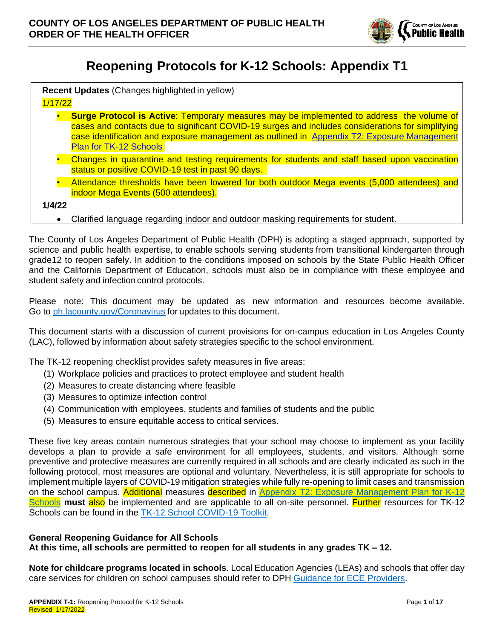

# **Reopening Protocols for K-12 Schools: Appendix T1**

| <b>Recent Updates (Changes highlighted in yellow)</b>                                                                                                                                                                             |
|-----------------------------------------------------------------------------------------------------------------------------------------------------------------------------------------------------------------------------------|
| 1/17/22<br><b>Surge Protocol is Active:</b> Temporary measures may be implemented to address the volume of                                                                                                                        |
| cases and contacts due to significant COVID-19 surges and includes considerations for simplifying<br>case identification and exposure management as outlined in Appendix T2: Exposure Management<br><b>Plan for TK-12 Schools</b> |
| Changes in quarantine and testing requirements for students and staff based upon vaccination<br>status or positive COVID-19 test in past 90 days.                                                                                 |
| Attendance thresholds have been lowered for both outdoor Mega events (5,000 attendees) and<br>indoor Mega Events (500 attendees).                                                                                                 |
| 1/4/22                                                                                                                                                                                                                            |
| Clarified language regarding indoor and outdoor masking requirements for student.                                                                                                                                                 |

The County of Los Angeles Department of Public Health (DPH) is adopting a staged approach, supported by science and public health expertise, to enable schools serving students from transitional kindergarten through grade12 to reopen safely. In addition to the conditions imposed on schools by the State Public Health Officer and the California Department of Education, schools must also be in compliance with these employee and student safety and infection control protocols.

Please note: This document may be updated as new information and resources become available. Go to [ph.lacounty.gov/Coronavirus](http://www.ph.lacounty.gov/media/Coronavirus/) for updates to this document.

This document starts with a discussion of current provisions for on-campus education in Los Angeles County (LAC), followed by information about safety strategies specific to the school environment.

The TK-12 reopening checklist provides safety measures in five areas:

- (1) Workplace policies and practices to protect employee and student health
- (2) Measures to create distancing where feasible
- (3) Measures to optimize infection control
- (4) Communication with employees, students and families of students and the public
- (5) Measures to ensure equitable access to critical services.

These five key areas contain numerous strategies that your school may choose to implement as your facility develops a plan to provide a safe environment for all employees, students, and visitors. Although some preventive and protective measures are currently required in all schools and are clearly indicated as such in the following protocol, most measures are optional and voluntary. Nevertheless, it is still appropriate for schools to implement multiple layers of COVID-19 mitigation strategies while fully re-opening to limit cases and transmission on the school campus. Additional measures described in Appendix T2: Exposure Management Plan for K-12 [Schools](http://publichealth.lacounty.gov/media/Coronavirus/docs/protocols/ExposureManagementPlan_K12Schools.pdf) **must** also be implemented and are applicable to all on-site personnel. Further resources for TK-12 Schools can be found in the [TK-12 School COVID-19 Toolkit.](http://ph.lacounty.gov/acd/ncorona2019/EducationToolkit/TK12)

## **General Reopening Guidance for All Schools**

# **At this time, all schools are permitted to reopen for all students in any grades TK – 12.**

**Note for childcare programs located in schools**. Local Education Agencies (LEAs) and schools that offer day care services for children on school campuses should refer to DPH [Guidance for ECE Providers.](http://www.ph.lacounty.gov/media/Coronavirus/docs/education/GuidanceEarlyChildhoodEducation.pdf)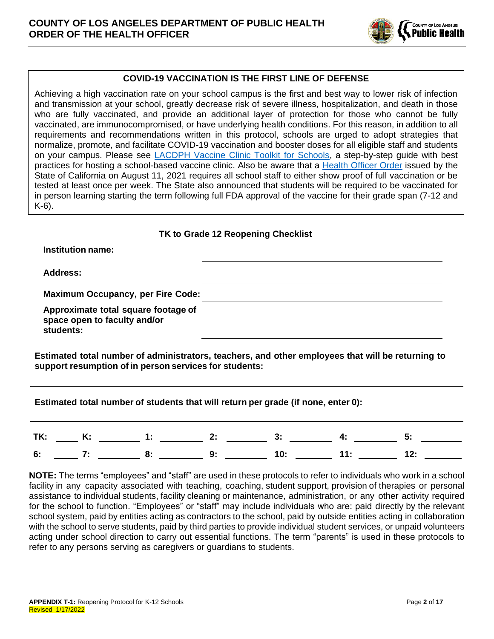

#### **COVID-19 VACCINATION IS THE FIRST LINE OF DEFENSE**

Achieving a high vaccination rate on your school campus is the first and best way to lower risk of infection and transmission at your school, greatly decrease risk of severe illness, hospitalization, and death in those who are fully vaccinated, and provide an additional layer of protection for those who cannot be fully vaccinated, are immunocompromised, or have underlying health conditions. For this reason, in addition to all requirements and recommendations written in this protocol, schools are urged to adopt strategies that normalize, promote, and facilitate COVID-19 vaccination and booster doses for all eligible staff and students on your campus. Please see **LACDPH Vaccine Clinic Toolkit for Schools**, a step-by-step guide with best practices for hosting a school-based vaccine clinic. Also be aware that a [Health Officer Order](https://www.cdph.ca.gov/Programs/CID/DCDC/Pages/COVID-19/Order-of-the-State-Public-Health-Officer-Vaccine-Verification-for-Workers-in-Schools.aspx) issued by the State of California on August 11, 2021 requires all school staff to either show proof of full vaccination or be tested at least once per week. The State also announced that students will be required to be vaccinated for in person learning starting the term following full FDA approval of the vaccine for their grade span (7-12 and K-6).

|                                                                                  | TK to Grade 12 Reopening Checklist                                                                |
|----------------------------------------------------------------------------------|---------------------------------------------------------------------------------------------------|
| <b>Institution name:</b>                                                         |                                                                                                   |
| Address:                                                                         |                                                                                                   |
| <b>Maximum Occupancy, per Fire Code:</b>                                         |                                                                                                   |
| Approximate total square footage of<br>space open to faculty and/or<br>students: |                                                                                                   |
| support resumption of in person services for students:                           | Estimated total number of administrators, teachers, and other employees that will be returning to |

**Estimated total number of students that will return per grade (if none, enter 0):**

**NOTE:** The terms "employees" and "staff" are used in these protocols to refer to individuals who work in a school facility in any capacity associated with teaching, coaching, student support, provision of therapies or personal assistance to individual students, facility cleaning or maintenance, administration, or any other activity required for the school to function. "Employees" or "staff" may include individuals who are: paid directly by the relevant school system, paid by entities acting as contractors to the school, paid by outside entities acting in collaboration with the school to serve students, paid by third parties to provide individual student services, or unpaid volunteers acting under school direction to carry out essential functions. The term "parents" is used in these protocols to refer to any persons serving as caregivers or guardians to students.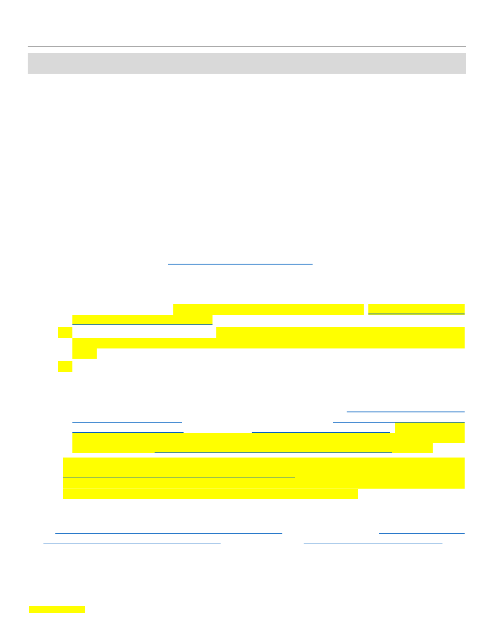A. WORKPLACE POLICIES AND PRACTICES TO PROTECT STAFF 3 (03/2 < ((6 AND STUDENTS (CHECK ALL THAT APPLY)

The school must have a COVID- & RQWDLQPHQW 5HVSRQVH DQG & RQWURO 30 comprehensive approach to preventing and containing the spread of COVID-19 on campus. The Plan includes, but is not limited to the following elements:

- ‰ A designated COVID-19 Compliance Team that is responsible for establishing and enforcing all COVID-19 safety protocols and ensuring that staff and students receive education about COVID-19. One member of this team is designated as a liaison to DPH in the event of an outbreak on campus.
- ‰ A plan or protocol, for steps that will be taken immediately upon notification of school officials that any member of the school community (faculty, staff, student, or visitor) tests positive for COVID-19.

‰ The plan addresses:

- x Immediate separation of the case from the school community to self-isolation at home if notification occurs while the case is on-site. The plan must allow for temporary, on-site isolation of the case if arrangements are needed for the  $S$  H U V return to their home.
- x Fact sheets or other informational materials that are to be given to the case (or appropriate family member/s if the case is a child) covering regulations governing self-isolation and links to sites with further information.
- ‰ A plan or protocol to initiate a School Exposure Management Plan consistent with DPH guidance that outlines procedures for:
	- x Isolation of case(s);
	- x Identification of persons exposed to cases at school;
	- x Quarantine of exposed staff and students per quidelines described in Appendix T2: Exposure Management Plan for K-12 Schools.
	- x Assurance of access to testing for all exposed students within the school who are not fully vaccinated, and all exposed staff who are not fully vaccinated, or fully vaccinated and overdue for their booster dose..
	- x Notification to DPH of all confirmed cases of COVID-19 disease among employees and children who had been at school at any point within 14 days prior to the illness onset date. The illness onset date is the COVID-19 test date or Symptom Onset Date of the infected person, whichever is earlier. Reporting of cases should be done within 1 business day of the VFKRRO  $\P$  V QRWLILFDWLR G can be completed online using the secure web application: http://www.redcap.link/lacdph. educationsector.covidreport or by downloading and completing the COVID-19 Case and Contact Line List for the Education Sector and sending it to ACDC-Education@ph.lacounty.gov. Note: The current activation of surge protocol procedures in schools now allows some flexibility in the mechanism of case reporting. See Appendix T2: Exposure Management Plan for K-12 Schools for details.
	- x To address the volume of cases due to significant COVID-19 surges, temporary measures outlined in Appendix T2: Exposure Management Plan for K-12 Schools may be implemented to manage cases and exposures at school. These are optional measures: schools may continue routine protocols for exposure management during the surge period if there is capacity to do so.
- ‰ A plan to immediately report a cluster of cases (3 or more cases within 14 days) to the Department of Public Health. This can be done using the same reporting options described above: (1) submitting the report online at http://www.redcap.link/lacdph.educationsector.covidreport or (2) completing the COVID-19 Case and Contact Line List for the Education Sector and emailing it to ACDC-Education@ph.lacounty.gov. The Department of Public Health will work with the school to determine whether the cluster is an outbreak that will require a public health outbreak response.
- ‰ Contingency plans for full or partial closure of in-person school operations if that should become necessary based on an outbreak in the school or community.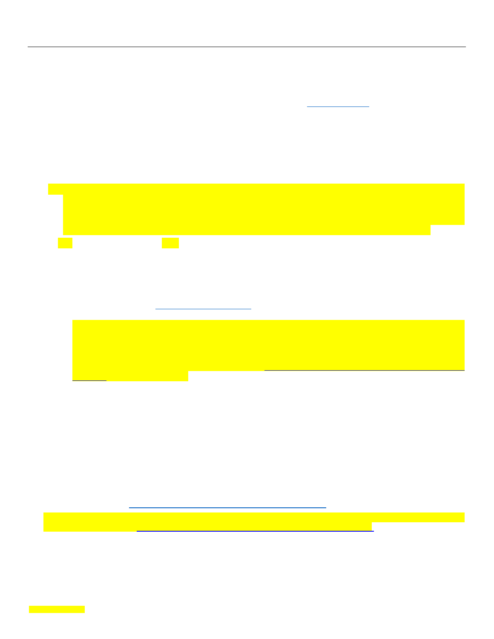‰ A plan or protocol for incorporating COVID-19 testing into regular school operations.

- x At a minimum the plan should describe the strategy for ensuring access to testing for students or employees who are symptomatic or students and staff who are not fully vaccinated and have known or suspected exposure to an individual infected with SARS-CoV-2. Note that current Cal/OSHA COVID-19 Prevention Emergency Temporary Standards (Cal/OSHA ETS) requires employers to offer testing at no cost to employees during paid time for:
	- o Symptomatic unvaccinated employees, regardless of whether there is a known exposure.
	- o Unvaccinated employees after an exposure.
	- o Vaccinated employees after an exposure if they develop symptoms.
	- o Unvaccinated employees in an outbreak (3 or more employee cases).
	- o All employees in a major outbreak (20 or more employee cases).
- x Schools are required to have sufficient testing capacity two weeks after re-opening from winter break or by January 25, 2022, whichever is later, to test exposed students and staff who are unvaccinated or not fully vaccinated at least once weekly, during the 10 days after their last exposure date. Please notify DPH immediately if you do not have testing capacity to meet this requirement. If resources allow, schools should extend testing to include exposed students and staff who are fully vaccinated.
	- $x$  In addition, the school  $may$  consider a strategy for periodic testing for asymptomatic individuals with no known exposure. The California Department of Public Health (CDPH) is not requiring any particular frequency or procedure for asymptomatic testing at this time. However, the state has put into place support for specific testing cadences through supplemental testing supplies, shipment, laboratory capacity, enrollment and reporting technology, training, and assistance with insurance reimbursement. Schools are advised to access information and resources regarding school-centered WHVWLQJ DWSafte WirDAWHUF In times of high rates of community transmission, LA County recommends that periodic testing include fully vaccinated individuals where resources allow. Note: At this time given the volume of cases and contacts in the current pandemic surge, along with challenges in meeting the demand for testing, response testing for symptomatic and exposed individuals should be the priority. In the event of wide-scale or repeated exposures within a school, weekly testing of all unvaccinated or not fully vaccinated students may be considered until such time that exposure events become less frequent. See Appendix T2: Exposure Management Plan for K-12 Schools for additional details.
	- x The plan must provide that all testing results will be reported to the Department of Public Health.
	- x Please note: Screening testing is not recommended for persons who have recovered from laboratory confirmed COVID-19 within the past 90 days and are asymptomatic.
- ‰ Consider assigning vulnerable employees (employees not yet fully vaccinated who are above age 65 and/or with chronic health conditions that would place them at high risk if infected) work that can be done from home when feasible. Employees in this category should discuss any concerns with their healthcare provider or occupational health services to make appropriate decisions on returning to the workplace.
- ‰ Consider reconfiguration of work processes to the extent consistent with academic requirements and student needs to increase opportunities for employees to work from home.
- ‰ All employees have been told not to come to work if sick. School officials have provided information to employees regarding employer or government sponsored leave benefits.
- ‰ Employees with an exposure or suspected exposure to a person who has COVID-19 must follow quarantine guidance as detailed in Appendix T2: Exposure Management Plan for K-12 Schools.
- ‰ Use of school facilities for non-school purposes (community meeting or events, on-site clinic visits by people who are neither students nor staff, etc.) is permitted. Use of indoor school facilities provides more risk of contamination of indoor air and surfaces and care should be taken to avoid unnecessary exposure for regular school employees and students. Routine cleaning after use of indoor facilities by non-school groups is recommended. Use of outdoor athletic fields by non-school youth sports teams, leagues, or clubs is permitted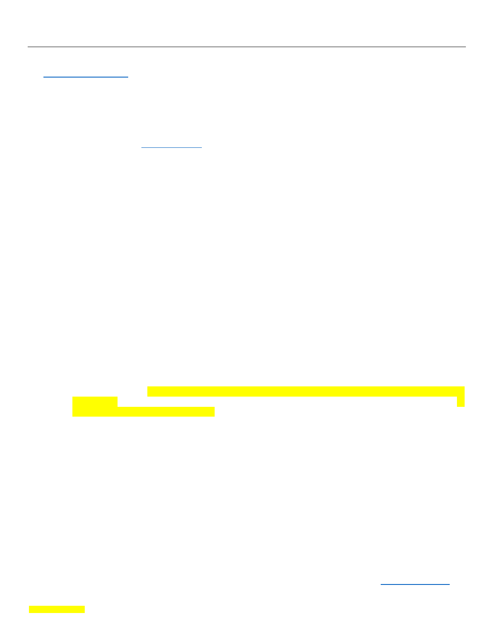as long as care is taken to avoid unnecessary exposures for regular school employees and students.

- ‰ Employee screenings are recommended to be conducted before employees may enter the workspace. Entry screening should include a check-in concerning cough, shortness of breath, difficulty breathing and fever or chills and if the employee is currently under isolation or quarantine orders. Temperature checks are recommended if feasible.
	- x These screenings can be done in-person upon arrival at the site or remotely before arrival using a digital app or other verifiable approach.
	- x Note that current Cal/OSHA ETS requires employers to exclude employees from the workplace who have COVID-19 symptoms and/or are not fully vaccinated and have had a close contact. Cal/OSHA does not prescribe any particular method of employee screening but implementing some method as recommended will assist in compliance with the current ETS.
- ‰ Masking is required for anyone entering school buildings or transports (school buses as well as school buildings) who has contact with others (students, parents, or other employees).
	- x Employees who have contact with others are offered, at no cost, an appropriate face mask that covers the nose and mouth. The mask must be worn by the employee at all times during the workday and is in contact or likely to come into contact with others. Employees who have been instructed by their medical provider that they should not wear a face mask must wear a face shield with a drape on the bottom edge, as long as their condition permits it. A drape that is form fitting under the chin is preferred. Masks with one-way valves must not be used.
	- x Employees who are exempt from wearing a mask must undergo COVID-19 testing at least twice per week unless the employee provides proof of full vaccination status against COVID-19 and proof of receipt of booster dose once they become eligible. In times of high rates of community transmission, LA County recommends that this periodic testing also include fully vaccinated individuals with or without booster doses where resources allow.
	- x Requirement to provide upgraded masks to all school employees: At this time, all school employees, as defined above, must wear surgical-grade masks (also referred to as medical procedure masks) or higher-level PPE (e.g., KN95 or N95 respirator masks). For those wearing surgical masks, double masking, with a cloth face covering worn over the surgical mask, is recommended for enhanced protection. Cloth face coverings alone are no longer acceptable, as they do not provide the same level of source control or personal protection as a proper surgical mask or higher-level PPE. Schools should implement this directive as soon as possible but must be in compliance no later than two weeks after the post-holiday reopening date of the school or district or January 17, 2022, whichever is later.
	- x Employers are required to provide, upon request, respirators to any unvaccinated employee along with instructions on how to ensure the mask fits appropriately.
	- x All staff must wear a face mask at all times when indoors, except when working alone in private offices with closed doors; when they are the only individual present in a larger open workspace for multiple employees; or when eating or drinking.
	- x All staff are also required to wear masks outdoors on school campuses, except when eating or drinking, when in crowded outdoor settings where distancing cannot be easily and reliably maintained.
	- x It is strongly recommended but not required that students wear upgraded masks which at a minimum are well-fitting, non-cloth mask of multiple layers of non-woven material with a nose wire. Nothing in this protocol requires that the school provide upgraded masks to its general student population. However, universal masking with some appropriate type of face covering is stil l currently required for both indoor and outdoor settings on the school campus . Exceptions would include when actively eating or drinking and in outdoor settings where physical distancing can be reliably maintained.
	- x For the most updated LACDPH guidance and information on masking, refer to COVID-19 Masks.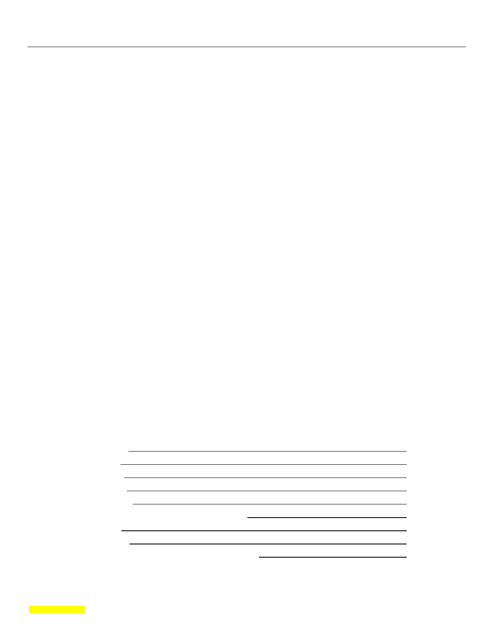- x Alternative protective strategies may be adopted to accommodate students who are on Individualized Education or 504 Plans and who have medical reasons why they cannot use or tolerate a face mask. Students who present appropriate documentation demonstrating a disability or condition that does not allow them to safely wear a mask should wear a face shield with drape at the bottom if their condition allows it. Students with documented conditions that do not accommodate the face shield and drape may request a reasonable accommodation from the school or district. Assessing for exemption due to a medical condition, mental health condition, disability or hearing impairment that prevents wearing a mask, is a medical determination and therefore must be made by a physician, nurse practitioner, or other licensed medical professional practicing under the license of a physician. Self-attestation and parental attestation for mask exemptions due to the aforementioned conditions do not constitute medical determinations. Appropriately documented medical exemptions are the only acceptable reason a student may be excused from the requirement to wear a mask indoors at school. Personal belief or religious exemptions do not apply to masking requirements.
- x It is strongly recommended that any student who is exempt from wearing a mask indoors be tested for COVID-19 at least twice a week, unless they provide proof of full vaccination status (and booster status if eligible) against COVID-19. In times of high rates of community transmission, LA County recommends that this periodic testing also include fully vaccinated and boosted individuals where resources allow.
- x Public schools should be aware of the requirements in AB 130 to offer independent study programs for the 2021-22 school year.
- ‰ It is recommended that employees be instructed to wash or replace their face masks daily and parents be instructed to ensure that children have clean face masks.
- ‰ To ensure that masks are worn consistently and correctly, staff are discouraged from eating or drinking except during their breaks when they are able to safely remove their masks and increase their physical distance from others. Eating or drinking outdoors is best but eating or drinking at a cubicle or workstation indoors is preferred to eating in a breakroom if eating in a cubicle or workstation permits greater distance from and barriers between staff.
- ‰ Consider increasing space between employees in any room or area used by staff for meals and/or breaks, especially when space will be shared by employees who are not fully vaccinated or whose vaccination status is unknown.
- ‰ All employees, on-site contractors, vendors, and delivery personnel have been provided instructions regarding required use of face masks when around others indoors.
- ‰ Break rooms, restrooms, classrooms, and other common areas used or visited by staff are cleaned at the frequency listed below. Routine cleaning is recommended at a frequency no less than once per day during periods of operation but may be done more frequently.
	- x Break rooms
	- x Restrooms
	- x Classrooms
	- x Laboratories
	- x 1XUVoHfMEdy
	- x Counseling and other student support areas
	- x Front office
	- x Other offices
	- x Other (auditorium, gymnasium, library if in use)

‰ High touch areas in staff breakrooms are recommended to be cleaned at least once per day.

‰ It is recommended that hand sanitizer effective against COVID-19 be made available to all employees in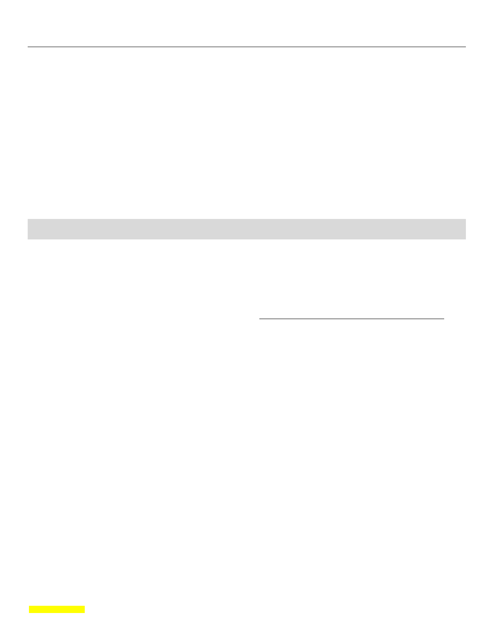or near the following locations (check all that apply):

- x Building entrance/s, exit/s \_\_\_\_\_\_\_\_\_
- x Central office
- x Stairway entrances \_\_\_\_\_\_\_\_\_
- x Elevator entry (if applicable) \_\_\_\_\_\_\_\_\_
- x Classrooms \_\_\_\_\_\_\_\_\_
- x Faculty breakroom
- x Faculty offices: \_\_\_\_\_\_\_\_\_

‰ It is recommended that employees be offered frequent opportunities to wash their hands with soap and water.

‰ Copies of this Protocol have been distributed to all employees.

‰ Optional² Describe other measures:

#### B. MEASURES TO ALLOW FOR RECOMMENDED PHYSICAL DISTANCING AND REDUCE CROWDING BY STAFF, STUDENTS AND VISITORS (CHECK ALL THAT APPLY)

\_\_\_\_\_\_\_\_\_\_\_\_\_\_\_\_\_\_\_\_\_\_\_\_\_\_\_\_\_\_\_\_\_\_\_\_\_\_\_\_\_\_\_\_\_\_\_\_\_\_\_\_\_\_\_\_\_\_\_\_\_\_\_\_\_\_\_\_\_\_\_\_\_\_\_\_\_\_\_\_\_\_\_\_\_

NOTE: LACDPH recommends that measures be implemented to create physical distancing when doing so will not interfere with the full-time attendance of all enrolled students. This is especially important during times that groups of students are outside the classroom (e.g., hallway transitions) and/or anytime masks must be removed in a group setting (e.g., lunch time, recess) where increased physical distance is preferred. For situations when physical distancing may not be feasible (e.g., very full classrooms), the importance of 100% mask adherence is critical.

‰ Maximum number of employees permitted in facility, is: .

‰ Face masks are required at all times on school buses and vans.

- ‰ Consider maintaining measures to promote physical distancing of students on school busses since many students remain unvaccinated. These measures may include (check all that apply):
	- x Seating one child per bus seat.
	- x Use of alternating rows.
	- x Open windows as air quality and rider safety concerns allow. \_\_\_\_\_\_\_\_\_

‰ Additional measures that may be considered to promote physical distancing and reduce rider density on school buses (Check all that apply):

- x Staggered school start times to permit more than one trip per bus at school start and close.
- x Implementation of measures that make it easier for parents to drive students to school, such as availability of early opening with staff presence, expanded short-term parking at schools, and presence of staff at drop-off areas to assure safe movement of students from drop-off to school entry.
- x Implementation of measures that facilitate safe and age-appropriate student travel to school including Safe Routes to School walking groups, use of school crossing guards, bicycle safety and bike route programming.
	- o Parents have been engaged in working with school personnel to assure that alternative transportation options are appropriately supervised and have incorporated strategies for physical distancing and use of face masks.
	- o Building infrastructure is adapted to maximize support for bicycle commuting and capacity for bike storage is increased if possible.
- $x \cdot$  Other:  $\frac{y}{x}$

\_\_\_\_\_\_\_\_\_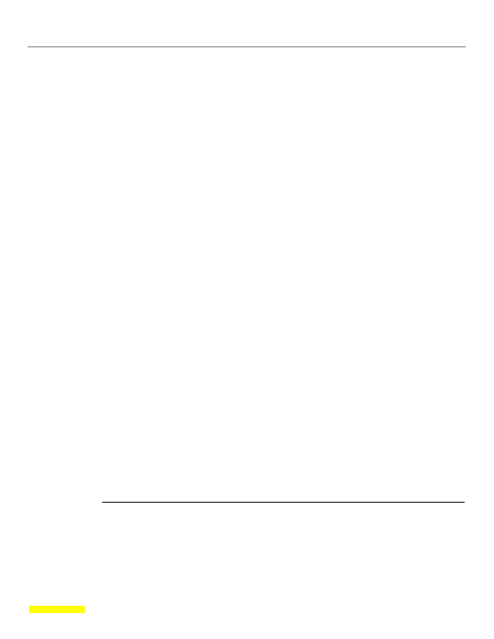‰ Consider implementing measures to reduce crowding as students, parents or visitors enter and move through the school building. These may include (check all that apply):

- x Schedules are adjusted to avoid crowding in common spaces and when possible, allow single classrooms or small groups to move through common spaces (such as hallways and bathrooms) at a given time.
- x School employees are deployed in hallways to promote physical distancing and reduce loitering and crowding as students enter and proceed to classrooms. \_\_\_\_\_\_\_\_\_
- x Elevator capacity, if applicable, is limited to reduce crowding. All riders are required to wear face masks. \_\_\_\_\_\_\_\_\_
- x The following measures may be implemented to avoid crowding on stairways:
	- o Designation of up and down stairways
	- o Staggering of breaks between classes
	- o Monitoring of stairways by school staff
	- o Other: \_\_\_\_\_\_\_\_\_\_\_\_\_\_\_\_\_\_\_\_\_\_\_\_\_\_\_\_\_\_\_\_\_\_\_\_\_\_\_\_\_\_\_\_\_\_\_\_\_\_\_\_\_\_\_\_\_\_\_\_\_\_\_\_\_\_\_
- ‰ Consider adopting a school-wide approach to creating and maintaining stable groups, in which supervising adults and children stay together for as many activities as possible (e.g., meals, recreation, etc.), and avoid inter-mingling with people outside of their group in the setting, throughout the school day. Stable groups are considered a best practice at all grade levels and therefore recommended but not required.
	- x Students with IEP or 504 plans who require specialized services may be pulled out of their general education classroom and grouped with other students requiring similar services as needed to provide appropriate level of instruction and care.
	- x Specialized staff who serve students with IEP or 504 plans and/or provide specialized services will need to work with different stable groups during the school day and this should be accommodated. Staff that are not fully vaccinated should consider wearing a face shield in addition to the required mask if entering multiple classrooms for this purpose. All staff should be encouraged to wash or sanitize hands after leaving a classroom and before entering another classroom with a different group of students.
- ‰ Consider implementing measures that allow for recommended physical distancing within classrooms when possible without interfering with essential operations. These may include the following measures (check all that apply):
	- x Classroom furniture is set up to maximize distance between students and between students and<br>teachers.  $V D E H V W S U D F W L F H D Y R L G X V L Q J 3 S R G' V H D H W dV dL$ D Y R L G X V L Q J <sup>3</sup> S R G ' VHW DN WELQ J distancing is not feasible consider other safety measures including focus on high mask adherence.
	- x Consider enhancing other mitigation layers, such as stable groups or improved ventilation.
	- x Maintain an increased distance as much as possible during times when students or staff are not masked (e.g., due to eating or drinking, napping).
	- x Nap or rest areas in classrooms have students placed an increased distance apart and alternating feet to head.
	- x Other:
- ‰ Consider offering physical education classes outdoors as much as possible and select activities that allow for physical distancing. Physical education classes held indoors requires all present to wear masks except when drinking water.
- ‰ Consider implementing school policies that promote physical distancing in locker rooms. Policies may include:
	- x Offering access to locker rooms only when staff supervision is possible. Staggering locker room access. Consider limiting the total time students and student athletes spend in locker rooms, for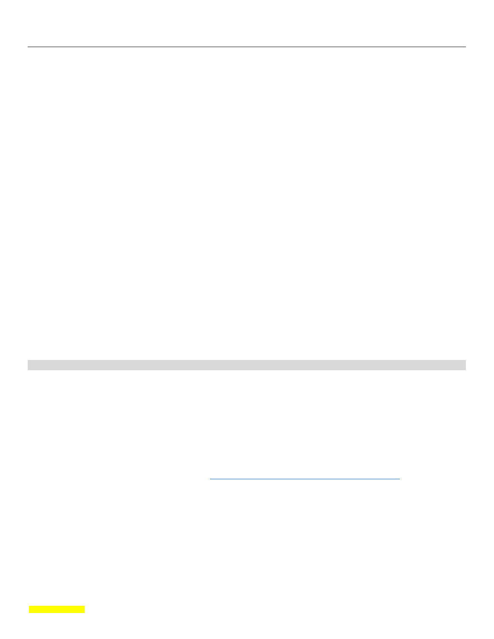example, suggest student athletes shower at home after practice and games.

- x Creating alternative options for storage of student clothing, books, and other items.
- ‰ Consider implementing measures to increase physical distancing during school meals when students will be unmasked. These may include (check all that apply):
	- x Meals are eaten in classrooms or outdoors, without mingling of stable groups from different classrooms. \_\_\_\_\_\_\_\_\_
	- x If students line up to pick up food, tape or other markings are used to promote distance between students.
	- x Staff are deployed during meals to maintain distancing and prevent mixing of students from different stable groups.
	- x If meals take place in a cafeteria, mealtimes are staggered to reduce the number of groups in the cafeteria at any one time.
	- x If meals take place in a cafeteria, space between all tables/chairs has been increased to maintain distance between students while eating. Barriers between tables and/or chairs may be used as an alternative when distancing is not possible. \_\_\_\_\_\_\_\_\_
- ‰ Consider implementing measures to promote physical distancing in school areas used for student support services.
	- x Student support staff, including school employees (nurses, guidance counselors, therapists, etc.) and employees of adjunct support programs (clinicians, health educators, etc.) are encouraged to maintain when feasible physical distance while engaging in student support activities.
	- x Furniture and equipment in school areas used for student support services are arranged to promote distancing between any two students and/or between students and staff.
	- x Sharing of equipment and supplies is avoided where possible.
	- x Staff offering student support services are provided with appropriate Personal Protective Equipment (PPE) per Cal/OSHA requirements.

## C. MEASURES THAT ENSURE INFECTION CONTROL (CHECK ALL THAT APPLY TO THE FACILITY)

- ‰ Symptom screening is recommended to be conducted before students, visitors and staff enter the school. Screening should include a check-in concerning symptoms consistent with possible COVID-19 and any other symptoms the individual may be experiencing. These checks can be done remotely (using a digital app) or in person upon arrival. A temperature check with a no-touch thermometer at entry can be included as part of the screening, if feasible, especially for visitors who may not be part of a systematic at-home screening process.
	- x Students, staff, and visitors who screen positive at entry or who report symptoms at any point during the school day should be reported to the COVID-19 Compliance Team (see Section A). The COVID-19 Compliance Team will determine whether the individual should be excused from the facility according to DPH guidance on Symptom and Exposure Screening Pathways at Educational Institutions. Students who screen positive are provided a surgical mask, unless they are already wearing a mask of recommended quality and accompanied to a pre-selected isolation space where they can remain while a determination is made on exclusion and arrangements are made for their return home, where indicated.
	- x Per the DPH Symptom and Exposure Screening Pathways, students, staff, and visitors who have had close contact with an individual who has screened positive for symptoms consistent with possible COVID-19 are notified of the potential exposure. These individuals are not required to quarantine unless the exposure has been confirmed through a positive COVID-19 diagnostic viral test or a clinical diagnosis from a medical provider. Students who have a confirmed exposure are accompanied to preselected quarantine space where they can remain until arrangements are made for their return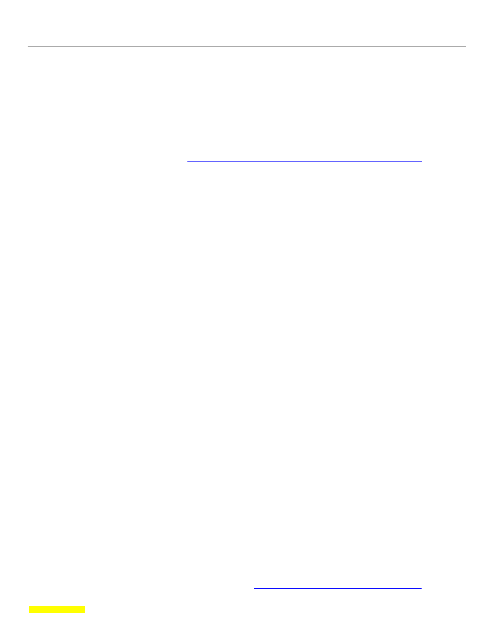home, unless the student meets criteria to remain in the classroom space during the post-exposure period (students who remain in the classroom space post-exposure must wear a well-fitting, non-cloth mask of multiple layers of non-woven material with a nose wire). This quarantine space is apart from the one set aside for symptomatic students. It may be a separate room or an area within the same room that is set apart by a barrier. Once they return home, they are instructed to self-quarantine as required by Health Officer Quarantine Order.

- ‰ Screening of adults and of middle and high school age students should include a question about close contact with anyone at home, school or elsewhere in the past 10 days who has tested positive for COVID-19.
	- x Anyone who is screened for recent exposure and reports close contact with an infected person should be managed per guidance in Appendix T2: Exposure Management Plan for K-12 Schools
- ‰ Consider implementing measures to limit risk of infection due to visits by individuals other than staff and students.These may include (check all that apply):
	- x Visitors should be regiVWHUHGLQDYLVLWRU ORname, KhDne number and Grhavi DY address in case this information is needed in the future for contact tracing purposes. If a visitor must be accompanied by another person (e.g., for translation assistance, or because the visitor is a minor, or has minor students) their information should also be captured in the visitor log.
	- x Movement of visitors within the school is best limited to designated areas such as the reception or lobby area, offices, conference or meeting rooms, and public rest rooms to the extent feasible, in order to reduce unnecessary interaction with any stable learning groups.
	- x Visitors arriving at the school are reminded to wear a face mask at all times while inside the school. This applies to all adults and to children 2 years of age and older. Individuals who have been instructed by their medical provider that they should not wear a face mask should wear a face shield with a drape on the bottom edge, as long as their condition permits it. A drape that is form fitting under the chin is preferred. Masks with one-way valves must not be used. To support the safety of your employees and other visitors, a face mask should be made available to visitors who arrive without them. For the safety of the visitors, as well as the entire school population, it is recommended but not required at this time that visitors wear an increased grade of mask while on campus such as a surgical grade (or medical procedure) mask or higher-level PPE (e.g., KN95 or N95 respirator).

‰ Implementing measures to promote optimal ventilation in the school is strongly recommended. These may include (check all that apply):

- x Movement of classroom learning, meals, and activities to outdoor space is maximized whenever feasible and weather permitting.
- x The school HVAC system is in good, working order. Prior to school reopening, consider having the HVAC system evaluated by an appropriate engineer familiar with the Guidance for Reopening Schools as developed by the American Society of Heating, Refrigerating, and Air-conditioning Engineers (ASHRAE).
- x HVAC systems are set to maximize indoor/outdoor air exchange unless outdoor conditions (recent fire, very high outside temperature, high pollen count, etc.) make this inappropriate. \_\_\_\_\_\_\_\_\_\_\_\_\_\_\_\_\_\_\_\_\_\_\_
- x Portable, high-efficiency air cleaners have been installed if feasible.
- x Doors and windows are kept open during the school day if feasible and if outdoor conditions make this appropriate. Existing fire codes requiring closure of fire-rated doors must be respected.
- x Air filters have been upgraded to a higher efficiency (MERV-13 or higher rating is preferred).

\_\_\_\_\_\_\_\_\_

\_\_\_\_\_\_\_\_\_

x Due to large room capacity and high-risk activities occurring on the court, improved ventilation in gymnasiums is a critical strategy to lower risk of viral transmission and outbreaks occurring as a result of high-risk competitive play. Strategic use of fans to improve air exchange at floor level may have significant impact at mitigating this risk. See Best Practices for Gymnasium Ventilation for further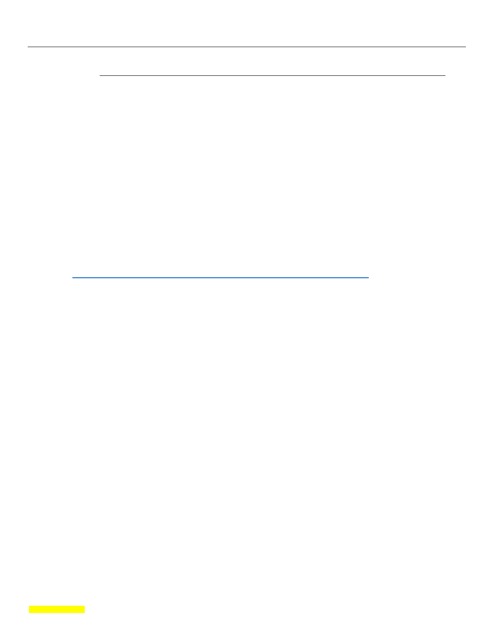guidance. \_\_\_\_\_\_\_\_

x Other:

‰ It is recommended to have measures in place to promote appropriate cleaning of space, surfaces, and objects throughout the school. These may include (check all that apply).

- x A cleaning schedule has been established in order to avoid both under-and over- use of cleaning products.
- x Buses are thoroughly cleaned daily and disinfected after transporting any individual who is exhibiting symptoms of COVID-19. Drivers are equipped with disinfectant wipes and disposable gloves to support disinfection of surfaces as needed during a run. Frequently touched surfaces are cleaned after every completed bus route.
- x Common areas and frequently touched objects in those areas (tables, doorknobs, light switches, countertops, handles, desks, phones, keyboards, elevator switches and buttons, touch screens, printers/copiers, grab bars, and handrails) are cleaned at least daily and more frequently as resources allow using appropriate products (see below).
- x Drinking fountains may be available for use. To PLQLPL]H WKH ULVN RI /HJLRQQDLI diseases associated with water, take steps to ensure that all water systems and features (e.g., drinking fountains, decorative fountains) are safe to use after a prolonged facility shutdown. This includes proper flushing and may require additional cleaning steps (including disinfection). Refer to CDC Guidance for Reopening Buildings After Prolonged Shutdown or Reduced Operation: https://www.cdc.gov/coronavirus/2019-ncov/php/building-water-system.html.
- x Where individualized alternatives are not feasible, for example, in laboratories and art rooms where some equipment may have to be used by multiple students, objects and surfaces are sanitized between users.
- x Cleaning products that are effective against COVID-19 (these are listed on the Environmental Protection Agency (EPA)- D S S U R Y H G O L Ved Vaccordin of to product instructions. When EPAapproved disinfectants are not available, alternative disinfectants can be used (for example, 1/3 cup of bleach added to 1 gallon of water, or 70% alcohol solutions). Do not mix bleach or other cleaning and disinfection products together  $\pm$ this causes toxic fumes that may be very dangerous to breathe. \_\_\_\_\_\_\_\_\_
- x Custodial and other staff responsible for cleaning and disinfecting school surfaces and objects are WUDLQHG RQ PDQXIDFWXOSHHAU golding that he required by the Healthy Schools Act, as applicable.
- x Custodial staff and other staff responsible for cleaning and disinfecting are equipped with appropriate personal protective equipment (PPE), including gloves, eye protection, respiratory protection and other appropriate protective equipment as required by the product.
- X \$OO FOHDQLQJ SURGXFWV DUH NHSW RXW RI FKLOGUHQ¶V UHI
- x Ventilation is maximized during cleaning and disinfecting to the extent feasible. If using air conditioning, use the setting that brings in fresh air. Replace and check air filters and filtration systems to ensure optimal air quality.
- x Enhanced cleaning and disinfection of school premises, when indicated, is done when students are not at school with adequate time to let spaces air out before the start of the school day.
- x Steps are taken to ensure that all water systems and sinks are safe to use after a prolonged facility VKXWGRZQ WR PLQLPL]HWKHULbanNd oRher disteases associated thwith flwaßelc VHD
- x Restrooms, lobbies, break rooms and lounges, and other common areas are cleaned at the frequency listed below. Routine cleaning is recommended at a frequency no less than once per day during

\_\_\_\_\_\_\_\_\_

\_\_\_\_\_\_\_\_\_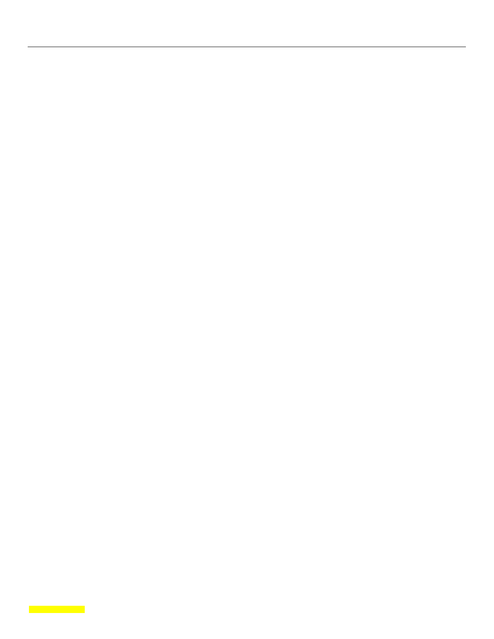periods of operation but may be done more frequently.

- ‡ Restrooms: \_\_\_\_\_\_\_\_\_\_
- ‡ Lobbies/entry areas: \_\_\_\_\_\_\_\_\_\_
- ‡ Teacher/staff break rooms: \_\_\_\_\_\_\_\_\_\_
- ‡ Classrooms: \_\_\_\_\_\_\_\_\_\_
- ‡ Cafeteria dining area: \_\_\_\_\_\_\_\_\_\_
- ‡ Cafeteria food preparation area: \_\_\_\_\_\_\_\_\_\_
- ‡ Front office: \_\_\_\_\_\_\_\_\_\_
- ‡ Other offices: \_\_\_\_\_\_\_\_\_\_
- ‡ Other areas: \_\_\_\_\_\_\_\_\_\_

‰ Measures are in place to ensure use of appropriate face masks by all staff, students, and visitors at all times when indoors. These must include (check all that apply):

- x Staff, parents, and students are informed of the requirement for face masks prior to the start of the school year and on a regular basis throughout the school year.
- x All students 2 and older are required to wear face masks at all times while indoors on school property except while eating, drinking, or carrying out other activities that preclude use of face masks. \_\_\_\_\_\_\_\_\_
- x All students 2 and older are also required to wear masks while outdoors on campus when in crowded settings, and in other outdoor spaces where distancing is not possible or practical.
- x It is strongly recommended but not required that students wear upgraded masks. A well-fitting, noncloth mask of multiple layers of non-woven material with a nose wire is recommended. Nothing in this protocol requires that the school provide upgraded masks to its general student population. However, universal masking with some appropriate type of face covering is still currently required for both indo or and outdoor settings on the school campus . Exceptions to universal masking requirements would include when actively eating or drinking and in outdoor settings where physical distancing can be reliably maintained. Upgraded level of masking may be required for a limited time in special circumstances such as a student in school who was recently isolating after illness and/or a positive test, or recently exposed to a confirmed case.
- x Alternative protective strategies may be adopted to accommodate students who are on Individualized Education or 504 Plans and who have medical reasons why they cannot use or tolerate a face mask. They should substitute a face shield with drape at the bottom if tolerated. Assessing for exemption due to a medical condition, mental health condition, disability that prevents wearing a mask, or hearing impairment is a medical determination and therefore must be made by a physician, nurse practitioner, or other licensed medical professional practicing under the license of a physician. Selfattestation and parental attestation for mask exemptions due to the aforementioned conditions do not constitute medical determinations. Appropriately documented medical exemptions are the only acceptable reason a student may be excused from the requirement to wear a mask indoors at school. Personal belief or religious exemptions do not apply to masking requirements.
- x Information is provided to staff, parents and students concerning proper use of face masks including the need to wash or replace face masks  $DIWHUHDFKGD\$  V XVH
- x Signage at the entry to the school, at the entry to the school office and throughout the school building reinforces this requirement and depicts proper use of face masks.
- x As feasible, two face masks are provided to each student at the start of the school year. If that is not feasible, parents and students are given information concerning methods for making their own face masks. \_\_\_\_\_\_\_\_\_
- x Parents of younger children are encouraged to provide a second face mask for school each day in case the one a child is wearing gets soiled; this would allow for a change of the face mask during the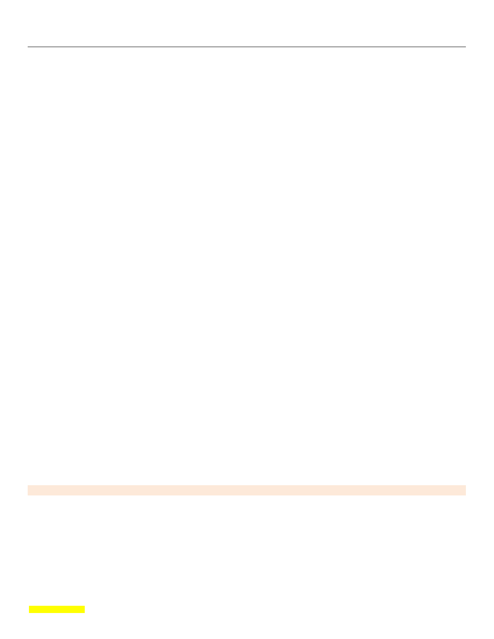day. \_\_\_\_\_\_\_\_\_

- x Staff who are deployed at school entry or in hallways or other common areas remind students of rules concerning use of face masks.
- x Employees engaged in activities (such as provision of physical therapy or personal assistance to individual students) are equipped with appropriate personal protective equipment (gloves, masks, gowns, etc.), as appropriate. \_\_\_\_\_\_\_\_\_

NOTE: Staff and students who are alone in closed offices are not required to wear face masks. Students may also remove face masks indoors when eating or napping or when wearing a face mask is otherwise impracticable (e.g., while swimming or showering). The school may consider whether it is appropriate for a teacher in the early grades to use a plastic face shield with a tucked-in drape below the chin as a substitute for a face mask to enable the youngest students to see their WHDF Kadde Langu Vavoid potential barriers to phonological instruction. Masks with transparent areas that make the lips and mouth visible also exist for this purpose and are permitted as an exemption to the upgraded mask requirements for staff for this specific purpose and only for the period of time when this activity requires the exemption.

- ‰ Implementing measures to promote frequent hand washing by staff, students, and visitors is recommended. These may include (check all that apply):
	- x Students and staff are given frequent opportunities to wash their hands for 20 seconds with soap, rubbing thoroughly after application, and use paper towels (or single-use cloth towels) to dry hands thoroughly. \_\_\_\_\_\_\_\_\_
	- x Younger students are regularly scheduled for frequent handwashing breaks, including before and after eating, after toileting, after outdoor play, and before and after any group activity.
	- x Staff are instructed to model frequent handwashing, especially in lower grades where bathroom time is an opportunity to reinforce healthy habits and monitor proper hand washing.
	- x Portable handwashing stations have been placed near classrooms to minimize movement and congregations in bathrooms to the extent practicable.
	- x Ethyl alcohol-based (contains at least 60% ethanol) hand sanitizer is made available to students and staff at strategic locations throughout the school where there is no sink or portable handwashing station (in or near classrooms, rooms in which support services are provided, music and art rooms). Ethyl alcohol-based hand sanitizer is preferred and should be used in school environments. Hand sanitizers with isopropyl alcohol as the main active ingredient are not used in the school, as it is more irritating and can be absorbed through the skin.
	- x Swallowing alcohol-based hand sanitizers can cause alcohol poisoning. Hand sanitizer is not out in the open and should be used with adult supervision for children under age 9. Faculty and staff have been made aware of the risk of ingestion and that they should call Poison Control at 1-800-222-1222 if there is reason to believe that a student has consumed hand sanitizer. \_\_\_\_\_\_\_\_\_
	- x Hand sanitizer, soap and water, tissues and trash cans are available at or near the entrance of the facility, at reception, and anywhere else inside the workplace or immediately outside where people have direct interactions.

## SPECIAL CONSIDERATIONS FOR PERFORMING ARTS

‰ Music classes

- x Any group musical activity requires participants to wear face masks both indoors and outdoors. However, individuals may practice such activities without masks when outdoors when alone, with enhanced physical distancing from others, and when alone indoors in a studio or practice room with the door closed.
- x Playing of wind instruments is permitted in a group setting as long as the following safety measures are adhered to:
	- o Those playing wind instruments must properly wear a modified face covering that allows for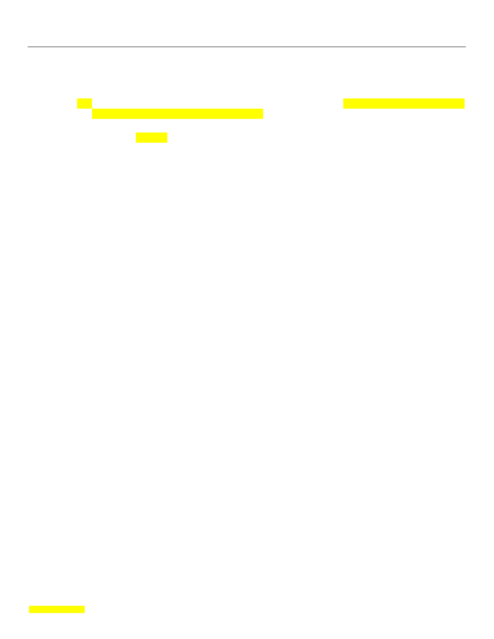direct contact with the instrument mouthpiece whenever they are playing the instrument. During periods that the students are not actively practicing or performing, they should switch to full face coverings.

- o Instrument bell covers must be used during playing of wind instruments.
- **o** A minimum of 3 feet of physical distancing must be maintained **between any individual playing** a wind instrument and all other participants.
- o Perform at least weekly screening testing with either PCR testing or antigen testing of all individuals who are not fully vaccinated and participating in the group practice or performance.
- x For activities that generate more forceful expired respiratory droplets such as singing, increased distance between individuals and engaging in these activities outside is strongly recommended. Individual singers may practice alone outdoors and indoors in a studio or practice room without a mask or with a single instructor present if both of them are appropriately masked per the guidance contained above in this protocol. Increased distance between the singer and instructor is recommended.
- x Limit the exchange (or sharing) of any instruments, parts, music sheets, or any other items.
- x Use disposable absorbent pads or other receptacles, where possible, to catch the contents of spit valves or water keys, discard or clean properly after use.

#### ‰ Theater classes

- x Students and instructors in theater classes must wear face masks at all times. It is recommended that there be increased physical distance if the participants are enunciating (for example, those in a theater workshop).
- x Limit, where possible, sharing of props, costumes, and wigs. If they must be shared, choose props, costumes and other materials that can be more easily disinfected. All props must be disinfected before first use on the set, and between uses by different actors. All shared clothing must be cleaned after each use. All wigs or other shared prosthetics must be disinfected after each use.
- x &OHDQ GUHVVLQJURRPV JUHHQ URRPV DQG SURGXFWLRQ DI Disinfectants for COVID-19.
- x Consider holding virtual or outdoor rehearsals and performances instead of indoor. Masks must be worn at all times when multiple individuals are participating together in the activities.

#### ‰ Dance classes

- x Students and instructors must wear face masks at all times. Masks may be removed briefly to drink water; during water breaks, students should be reminded to maintain an increased distance from others while masks are removed. Students should be reminded to limit their exertion to a level that is comfortable while wearing a face mask and to immediately take a break from exercise if they begin to experience any difficulty breathing. Masks may be briefly removed while a participant rests and catches their breath as long as they move an appropriate distance from all others in the space. Masks should be changed if they become wet, if  $WKH\vee WLFN WR$ , Dr if the  $W\&S$
- x For activities that generate a greater volume of respiratory droplets such as heavy exertion, increasing the distance between individuals and limiting such activities to outdoor space is strongly recommended.
- x Maximize use of outdoor space for practice and performance as much as possible. Masks must be worn at all times when multiple individuals are participating together in the activities.

#### ‰ Music Recording

x Singing in sound booths/recording booths is permitted at this time as long as face masks are worn at all times as required. Increased distance between singers and from all others in the booth is strongly recommended due to the large amount of respiratory droplets released into a relatively small, confined indoor space.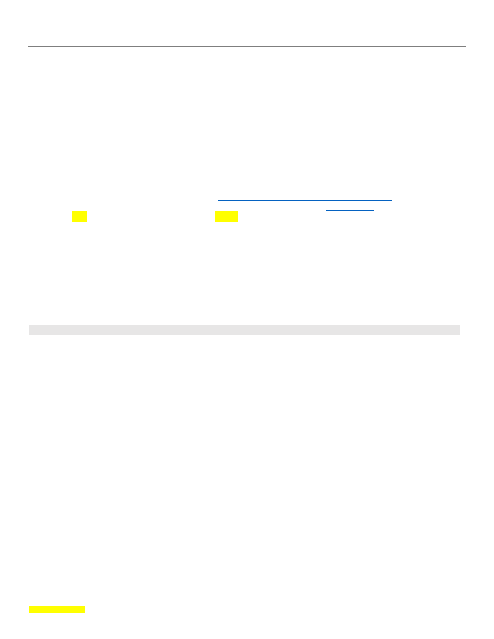- x Playing of wind instruments inside a sound booth with others present in the booth is permitted as long as musicians comply with all requirements above. Refer to section on music classes.
- x Singers or musicians playing wind instruments are permitted to perform in the sound booth without masks and other protective equipment only if they are sealed in the booth for solo recording and no other individuals are in the booth at the time.
- x Other group instrumental music may be recorded using a sound booth; however, a minimum of 3 feet of physical distance should be maintained between all musicians at all times and masks are required as for all other spaces.
- x Before the booth is used by another musician or group of musicians, the booth should be well ventilated (consider use of an air purifying device) to promote full air exchange and shared equipment (e.g., microphones) should be sanitized.

‰ Performances

- x Any performances should follow the Best Practices Guidance for Smaller Events to reduce the risk of spreading COVID-19, unless your performance or event is a Mega Event (defined as more than 500 attendees in an indoor venue or 5,000 attendees outdoors), then you should follow the Guidance for Mega Events.
- x Note that all performances in TK-12 school-sponsored productions require use of masks in indoor spaces by all persons present, including performers during the performance, regardless of vaccination status. At this time, student performers are also required to wear appropriate face coverings during outdoor performances as well. Spectators are not required to mask outdoors unless the performance qualifies as an outdoor mega-event. A TK-12 school-sponsored performance includes any performing art activity that is supervised, organized or sponsored by the school and includes students as part of their curricular or extracurricular programming, regardless of whether the performance is held at the school campus or at an offsite venue.

## D. MEASURES THAT COMMUNICATE TO THE CAMPUS COMMUNITY AND THE PUBLIC

- ‰ Information should be sent to parents and students prior to the start of school concerning school policies related to (check all that apply):
	- x Isolation and quarantine policies as they apply to students who have symptoms or may have been exposed to COVID-19
	- x Options for COVID-19 testing if the student or a family member has symptoms or has been exposed to COVID-19

\_\_\_\_\_\_\_\_\_\_\_\_\_\_\_\_\_\_\_\_\_\_\_\_\_\_\_\_\_\_\_\_\_\_\_\_\_\_\_\_\_\_\_\_\_\_\_\_\_\_\_\_\_\_\_\_\_\_\_\_\_\_\_\_\_\_\_\_\_\_\_\_\_\_\_\_\_\_

- x Who to contact at the school if student has symptoms or may have been exposed:
- x How to conduct a symptom check before student leaves home
- x Required use of face masks
- x Importance of student compliance with any physical distancing and infection control policies in place
- x Changes in academic and extracurricular programming in order to avert risk
- x School policies concerning parent visits to school and advisability of contacting the school remotely
- x Importance of providing the school with up-to-date emergency contact information including multiple parent contact options
- x Other: \_\_\_\_\_\_\_\_\_\_\_\_\_\_\_\_\_\_\_\_\_\_\_\_\_\_\_\_\_\_\_\_\_\_\_\_\_\_\_\_\_\_\_\_\_\_\_\_\_\_\_\_\_\_\_\_\_\_\_\_\_\_\_\_\_\_\_\_\_\_\_

\_\_\_\_\_\_\_\_

‰ A copy of this protocol is posted at all public entrances to the school and uploaded to a public facing page on the school or district website.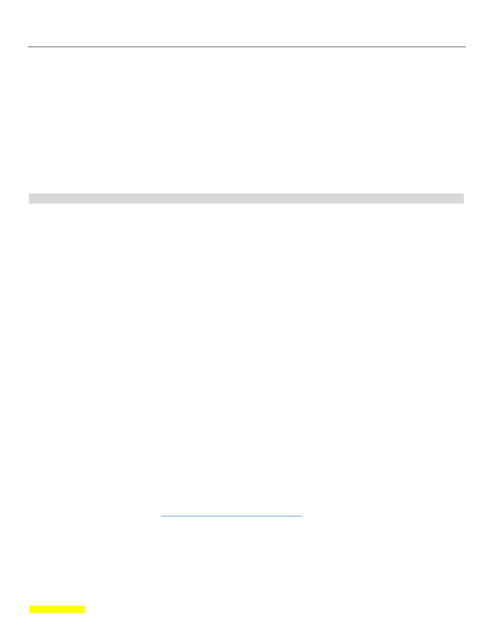- ‰ Signage has been posted throughout the school reminding staff and students of policies concerning use of face masks and importance of hand washing.
- ‰ Signage is posted at each public entrance of the school informing visitors that they should not enter the facility if they have symptoms of COVID-19.
- ‰ The school has developed and circulated a communication plan in case full or partial closure is required due to a possible cluster of COVID-19 cases.
- ‰ Online outlets of the school (website, social media, etc.) provide clear, up-to-date information about building hours, visitation policies, changes in academic and extracurricular programming, and requirements concerning use of face masks, physical distancing, and hand washing.
- ‰ Online outlets instruct students, parents, and teachers on how to contact the school in case of infection or exposure.

## E. MEASURES THAT ENSURE EQUITABLE ACCESS TO CRITICAL SERVICES

- ‰ A plan for updating Individualized Education Plans (IEPs) and 504 Plans of students with special needs has been developed to ensure that education can continue without undue risk to the student.
	- x This plan includes a method for proactive school contact with parents at the beginning of the school \HDU WR DVVXUH WKDW LVVXHV UHODWHG WR WKH FKLOG¶V H(
	- x Modifications to individual IEPs and 504 plans may involve remote learning, modifications to the classroom to accommodate student needs, school attendance in a separate area with few students, or a hybrid approach combining in-class and remote learning.
	- x Steps taken to modify IEPs and 504 plans to assure student safety comply with relevant provisions of state and federal law.

‰ Administrative services or operations that can be offered remotely (e.g., class registration, form submission, etc.) have been moved on-line.

Any additional measures not included above should be listed on separate pages, which the business should attach to this document.

> You may contact the following person with any questions or comments about this protocol:

| <b>Business Contact Name:</b> |  |
|-------------------------------|--|
| Phone Number:                 |  |

Date Last Revised:

SUMMARY OF REQUIRED PROCEDURES CONTAINED IN THIS DOCUMENT

- ‰ The school must have a COVID- & RQWDLQPHQW 5HVSRQVH DQG & RQWURO 30 comprehensive approach to preventing and containing the spread of COVID-19 on campus.
- ‰ A plan or protocol to initiate a School Exposure Management Plan consistent with DPH guidance.
- ‰ A plan to immediately report a cluster of cases (3 or more cases within 14 days) to the Department of Public Health.
- ‰ A plan or protocol for incorporating COVID-19 testing into regular school operations, which at a minimum should describe the strategy for ensuring access to testing for students or employees who are symptomatic or have known or suspected exposure to an individual infected with SARS-CoV-2.

‰ The plan must provide that all testing results will be reported to the Department of Public Health. All